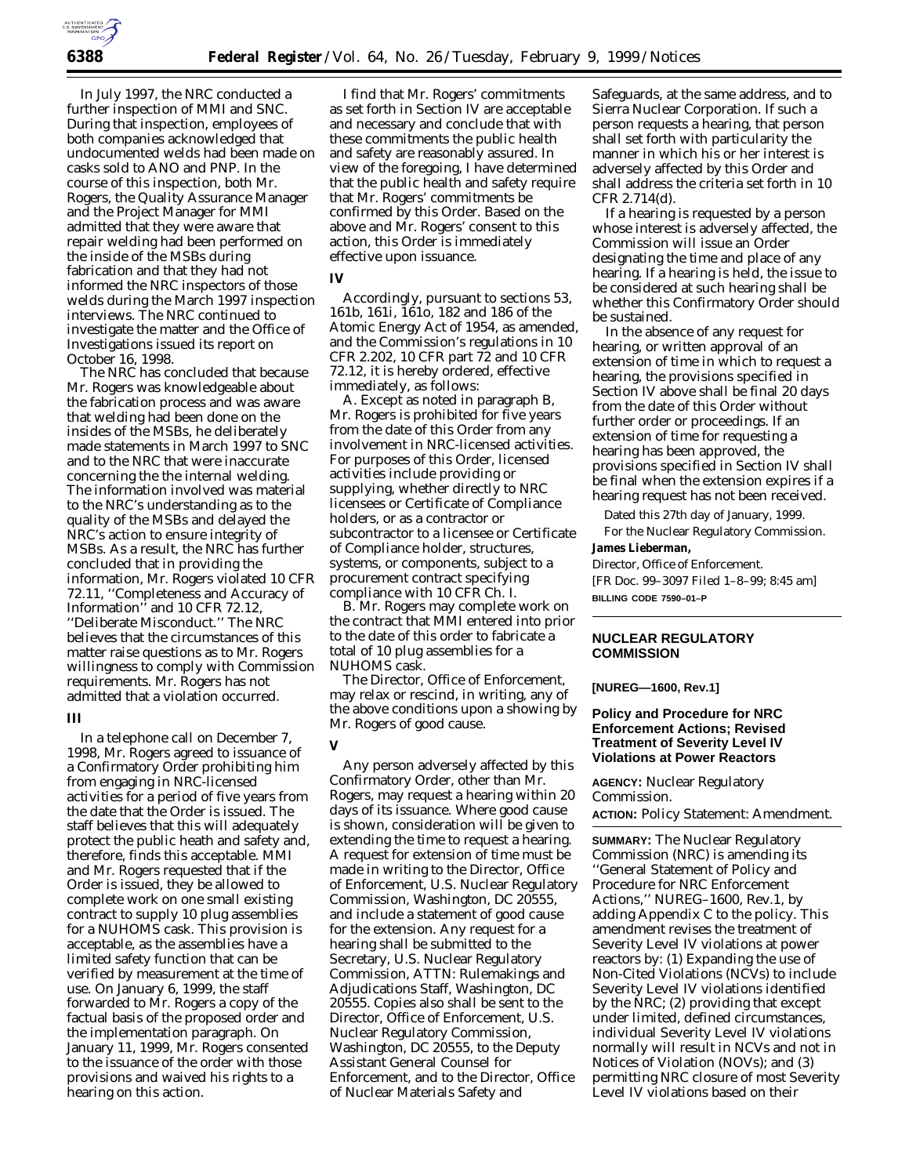In July 1997, the NRC conducted a further inspection of MMI and SNC. During that inspection, employees of both companies acknowledged that undocumented welds had been made on casks sold to ANO and PNP. In the course of this inspection, both Mr. Rogers, the Quality Assurance Manager and the Project Manager for MMI admitted that they were aware that repair welding had been performed on the inside of the MSBs during fabrication and that they had not informed the NRC inspectors of those welds during the March 1997 inspection interviews. The NRC continued to investigate the matter and the Office of Investigations issued its report on October 16, 1998.

The NRC has concluded that because Mr. Rogers was knowledgeable about the fabrication process and was aware that welding had been done on the insides of the MSBs, he deliberately made statements in March 1997 to SNC and to the NRC that were inaccurate concerning the the internal welding. The information involved was material to the NRC's understanding as to the quality of the MSBs and delayed the NRC's action to ensure integrity of MSBs. As a result, the NRC has further concluded that in providing the information, Mr. Rogers violated 10 CFR 72.11, ''Completeness and Accuracy of Information'' and 10 CFR 72.12, ''Deliberate Misconduct.'' The NRC believes that the circumstances of this matter raise questions as to Mr. Rogers willingness to comply with Commission requirements. Mr. Rogers has not admitted that a violation occurred.

## **III**

In a telephone call on December 7, 1998, Mr. Rogers agreed to issuance of a Confirmatory Order prohibiting him from engaging in NRC-licensed activities for a period of five years from the date that the Order is issued. The staff believes that this will adequately protect the public heath and safety and, therefore, finds this acceptable. MMI and Mr. Rogers requested that if the Order is issued, they be allowed to complete work on one small existing contract to supply 10 plug assemblies for a NUHOMS cask. This provision is acceptable, as the assemblies have a limited safety function that can be verified by measurement at the time of use. On January 6, 1999, the staff forwarded to Mr. Rogers a copy of the factual basis of the proposed order and the implementation paragraph. On January 11, 1999, Mr. Rogers consented to the issuance of the order with those provisions and waived his rights to a hearing on this action.

I find that Mr. Rogers' commitments as set forth in Section IV are acceptable and necessary and conclude that with these commitments the public health and safety are reasonably assured. In view of the foregoing, I have determined that the public health and safety require that Mr. Rogers' commitments be confirmed by this Order. Based on the above and Mr. Rogers' consent to this action, this Order is immediately effective upon issuance.

#### **IV**

Accordingly, pursuant to sections 53, 161b, 161i, 161o, 182 and 186 of the Atomic Energy Act of 1954, as amended, and the Commission's regulations in 10 CFR 2.202, 10 CFR part 72 and 10 CFR 72.12, it is hereby ordered, effective immediately, as follows:

A. Except as noted in paragraph B, Mr. Rogers is prohibited for five years from the date of this Order from any involvement in NRC-licensed activities. For purposes of this Order, licensed activities include providing or supplying, whether directly to NRC licensees or Certificate of Compliance holders, or as a contractor or subcontractor to a licensee or Certificate of Compliance holder, structures, systems, or components, subject to a procurement contract specifying compliance with 10 CFR Ch. I.

B. Mr. Rogers may complete work on the contract that MMI entered into prior to the date of this order to fabricate a total of 10 plug assemblies for a NUHOMS cask.

The Director, Office of Enforcement, may relax or rescind, in writing, any of the above conditions upon a showing by Mr. Rogers of good cause.

# **V**

Any person adversely affected by this Confirmatory Order, other than Mr. Rogers, may request a hearing within 20 days of its issuance. Where good cause is shown, consideration will be given to extending the time to request a hearing. A request for extension of time must be made in writing to the Director, Office of Enforcement, U.S. Nuclear Regulatory Commission, Washington, DC 20555, and include a statement of good cause for the extension. Any request for a hearing shall be submitted to the Secretary, U.S. Nuclear Regulatory Commission, ATTN: Rulemakings and Adjudications Staff, Washington, DC 20555. Copies also shall be sent to the Director, Office of Enforcement, U.S. Nuclear Regulatory Commission, Washington, DC 20555, to the Deputy Assistant General Counsel for Enforcement, and to the Director, Office of Nuclear Materials Safety and

Safeguards, at the same address, and to Sierra Nuclear Corporation. If such a person requests a hearing, that person shall set forth with particularity the manner in which his or her interest is adversely affected by this Order and shall address the criteria set forth in 10 CFR 2.714(d).

If a hearing is requested by a person whose interest is adversely affected, the Commission will issue an Order designating the time and place of any hearing. If a hearing is held, the issue to be considered at such hearing shall be whether this Confirmatory Order should be sustained.

In the absence of any request for hearing, or written approval of an extension of time in which to request a hearing, the provisions specified in Section IV above shall be final 20 days from the date of this Order without further order or proceedings. If an extension of time for requesting a hearing has been approved, the provisions specified in Section IV shall be final when the extension expires if a hearing request has not been received.

Dated this 27th day of January, 1999. For the Nuclear Regulatory Commission.

## **James Lieberman,**

*Director, Office of Enforcement.* [FR Doc. 99–3097 Filed 1–8–99; 8:45 am] **BILLING CODE 7590–01–P**

## **NUCLEAR REGULATORY COMMISSION**

**[NUREG—1600, Rev.1]**

## **Policy and Procedure for NRC Enforcement Actions; Revised Treatment of Severity Level IV Violations at Power Reactors**

**AGENCY:** Nuclear Regulatory Commission.

**ACTION:** Policy Statement: Amendment.

**SUMMARY:** The Nuclear Regulatory Commission (NRC) is amending its ''General Statement of Policy and Procedure for NRC Enforcement Actions,'' NUREG–1600, Rev.1, by adding Appendix C to the policy. This amendment revises the treatment of Severity Level IV violations at power reactors by: (1) Expanding the use of Non-Cited Violations (NCVs) to include Severity Level IV violations identified by the NRC; (2) providing that except under limited, defined circumstances, individual Severity Level IV violations normally will result in NCVs and not in Notices of Violation (NOVs); and (3) permitting NRC closure of most Severity Level IV violations based on their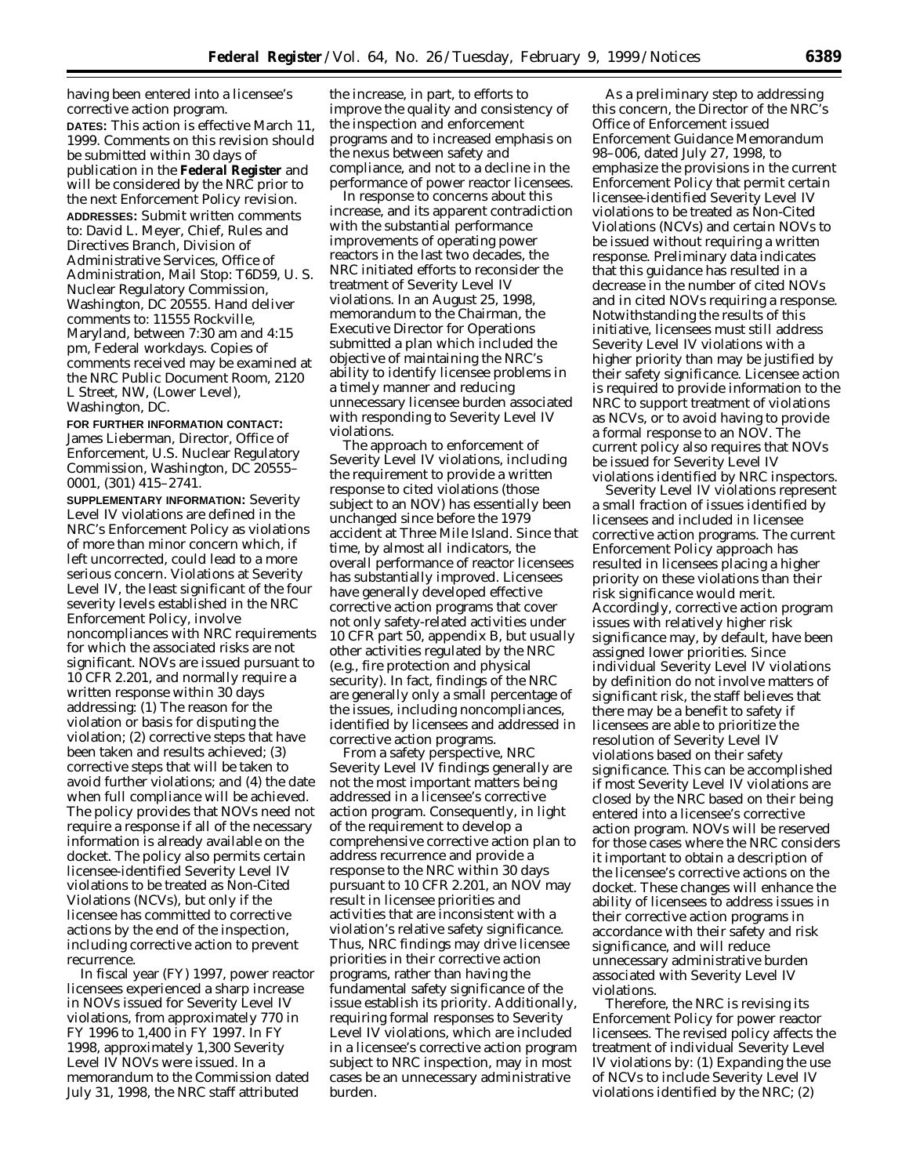having been entered into a licensee's corrective action program. **DATES:** This action is effective March 11,

1999. Comments on this revision should be submitted within 30 days of publication in the **Federal Register** and will be considered by the NRC prior to the next Enforcement Policy revision. **ADDRESSES:** Submit written comments to: David L. Meyer, Chief, Rules and Directives Branch, Division of Administrative Services, Office of Administration, Mail Stop: T6D59, U. S. Nuclear Regulatory Commission, Washington, DC 20555. Hand deliver comments to: 11555 Rockville, Maryland, between 7:30 am and 4:15 pm, Federal workdays. Copies of comments received may be examined at the NRC Public Document Room, 2120 L Street, NW, (Lower Level), Washington, DC.

# **FOR FURTHER INFORMATION CONTACT:**

James Lieberman, Director, Office of Enforcement, U.S. Nuclear Regulatory Commission, Washington, DC 20555– 0001, (301) 415–2741.

**SUPPLEMENTARY INFORMATION:** Severity Level IV violations are defined in the NRC's Enforcement Policy as violations of more than minor concern which, if left uncorrected, could lead to a more serious concern. Violations at Severity Level IV, the least significant of the four severity levels established in the NRC Enforcement Policy, involve noncompliances with NRC requirements for which the associated risks are not significant. NOVs are issued pursuant to 10 CFR 2.201, and normally require a written response within 30 days addressing: (1) The reason for the violation or basis for disputing the violation; (2) corrective steps that have been taken and results achieved; (3) corrective steps that will be taken to avoid further violations; and (4) the date when full compliance will be achieved. The policy provides that NOVs need not require a response if all of the necessary information is already available on the docket. The policy also permits certain licensee-identified Severity Level IV violations to be treated as Non-Cited Violations (NCVs), but only if the licensee has committed to corrective actions by the end of the inspection, including corrective action to prevent recurrence.

In fiscal year (FY) 1997, power reactor licensees experienced a sharp increase in NOVs issued for Severity Level IV violations, from approximately 770 in FY 1996 to 1,400 in FY 1997. In FY 1998, approximately 1,300 Severity Level IV NOVs were issued. In a memorandum to the Commission dated July 31, 1998, the NRC staff attributed

the increase, in part, to efforts to improve the quality and consistency of the inspection and enforcement programs and to increased emphasis on the nexus between safety and compliance, and not to a decline in the performance of power reactor licensees.

In response to concerns about this increase, and its apparent contradiction with the substantial performance improvements of operating power reactors in the last two decades, the NRC initiated efforts to reconsider the treatment of Severity Level IV violations. In an August 25, 1998, memorandum to the Chairman, the Executive Director for Operations submitted a plan which included the objective of maintaining the NRC's ability to identify licensee problems in a timely manner and reducing unnecessary licensee burden associated with responding to Severity Level IV violations.

The approach to enforcement of Severity Level IV violations, including the requirement to provide a written response to cited violations (those subject to an NOV) has essentially been unchanged since before the 1979 accident at Three Mile Island. Since that time, by almost all indicators, the overall performance of reactor licensees has substantially improved. Licensees have generally developed effective corrective action programs that cover not only safety-related activities under 10 CFR part 50, appendix B, but usually other activities regulated by the NRC (e.g., fire protection and physical security). In fact, findings of the NRC are generally only a small percentage of the issues, including noncompliances, identified by licensees and addressed in corrective action programs.

From a safety perspective, NRC Severity Level IV findings generally are not the most important matters being addressed in a licensee's corrective action program. Consequently, in light of the requirement to develop a comprehensive corrective action plan to address recurrence and provide a response to the NRC within 30 days pursuant to 10 CFR 2.201, an NOV may result in licensee priorities and activities that are inconsistent with a violation's relative safety significance. Thus, NRC findings may drive licensee priorities in their corrective action programs, rather than having the fundamental safety significance of the issue establish its priority. Additionally, requiring formal responses to Severity Level IV violations, which are included in a licensee's corrective action program subject to NRC inspection, may in most cases be an unnecessary administrative burden.

As a preliminary step to addressing this concern, the Director of the NRC's Office of Enforcement issued Enforcement Guidance Memorandum 98–006, dated July 27, 1998, to emphasize the provisions in the current Enforcement Policy that permit certain licensee-identified Severity Level IV violations to be treated as Non-Cited Violations (NCVs) and certain NOVs to be issued without requiring a written response. Preliminary data indicates that this guidance has resulted in a decrease in the number of cited NOVs and in cited NOVs requiring a response. Notwithstanding the results of this initiative, licensees must still address Severity Level IV violations with a higher priority than may be justified by their safety significance. Licensee action is required to provide information to the NRC to support treatment of violations as NCVs, or to avoid having to provide a formal response to an NOV. The current policy also requires that NOVs be issued for Severity Level IV violations identified by NRC inspectors.

Severity Level IV violations represent a small fraction of issues identified by licensees and included in licensee corrective action programs. The current Enforcement Policy approach has resulted in licensees placing a higher priority on these violations than their risk significance would merit. Accordingly, corrective action program issues with relatively higher risk significance may, by default, have been assigned lower priorities. Since individual Severity Level IV violations by definition do not involve matters of significant risk, the staff believes that there may be a benefit to safety if licensees are able to prioritize the resolution of Severity Level IV violations based on their safety significance. This can be accomplished if most Severity Level IV violations are closed by the NRC based on their being entered into a licensee's corrective action program. NOVs will be reserved for those cases where the NRC considers it important to obtain a description of the licensee's corrective actions on the docket. These changes will enhance the ability of licensees to address issues in their corrective action programs in accordance with their safety and risk significance, and will reduce unnecessary administrative burden associated with Severity Level IV violations.

Therefore, the NRC is revising its Enforcement Policy for power reactor licensees. The revised policy affects the treatment of individual Severity Level IV violations by: (1) Expanding the use of NCVs to include Severity Level IV violations identified by the NRC; (2)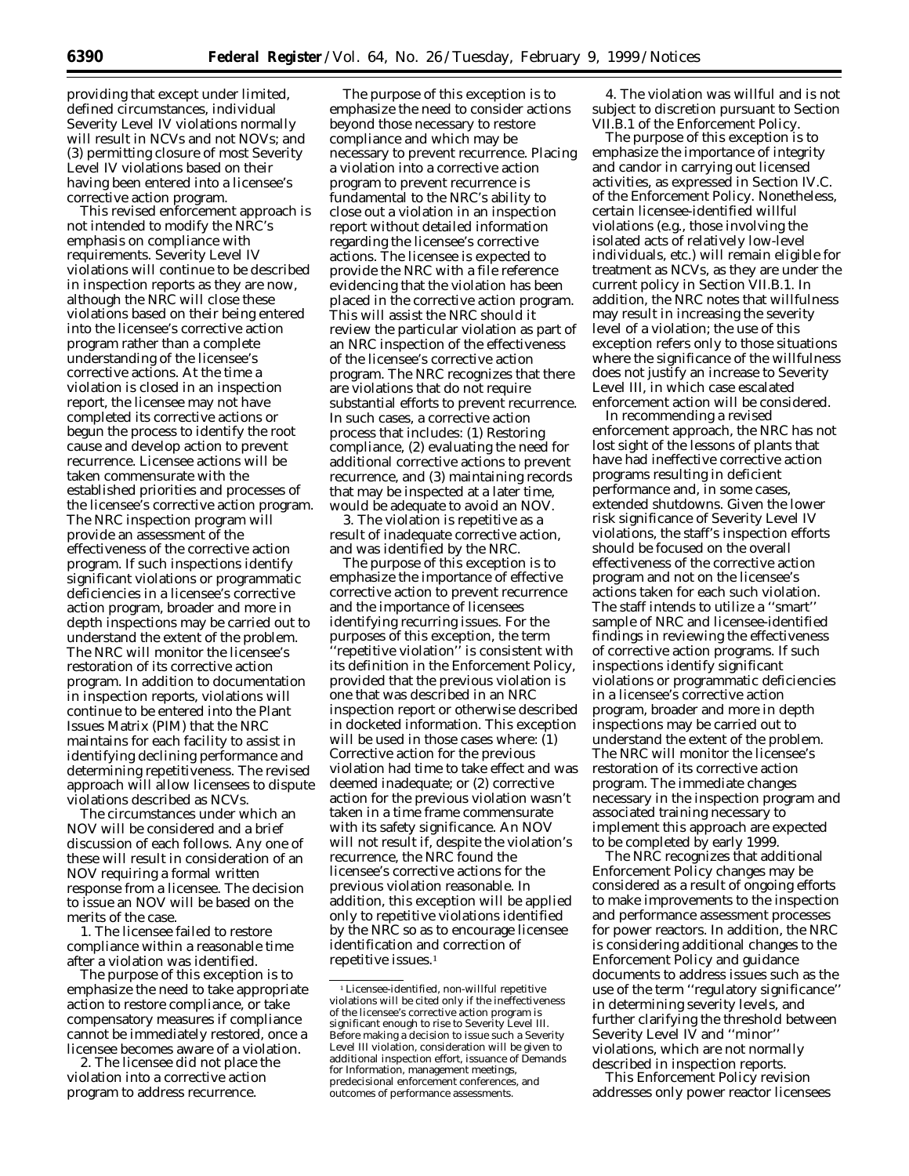providing that except under limited, defined circumstances, individual Severity Level IV violations normally will result in NCVs and not NOVs; and (3) permitting closure of most Severity Level IV violations based on their having been entered into a licensee's corrective action program.

This revised enforcement approach is not intended to modify the NRC's emphasis on compliance with requirements. Severity Level IV violations will continue to be described in inspection reports as they are now, although the NRC will close these violations based on their being entered into the licensee's corrective action program rather than a complete understanding of the licensee's corrective actions. At the time a violation is closed in an inspection report, the licensee may not have completed its corrective actions or begun the process to identify the root cause and develop action to prevent recurrence. Licensee actions will be taken commensurate with the established priorities and processes of the licensee's corrective action program. The NRC inspection program will provide an assessment of the effectiveness of the corrective action program. If such inspections identify significant violations or programmatic deficiencies in a licensee's corrective action program, broader and more in depth inspections may be carried out to understand the extent of the problem. The NRC will monitor the licensee's restoration of its corrective action program. In addition to documentation in inspection reports, violations will continue to be entered into the Plant Issues Matrix (PIM) that the NRC maintains for each facility to assist in identifying declining performance and determining repetitiveness. The revised approach will allow licensees to dispute violations described as NCVs.

The circumstances under which an NOV will be considered and a brief discussion of each follows. Any one of these will result in consideration of an NOV requiring a formal written response from a licensee. The decision to issue an NOV will be based on the merits of the case.

1. The licensee failed to restore compliance within a reasonable time after a violation was identified.

The purpose of this exception is to emphasize the need to take appropriate action to restore compliance, or take compensatory measures if compliance cannot be immediately restored, once a licensee becomes aware of a violation.

2. The licensee did not place the violation into a corrective action program to address recurrence.

The purpose of this exception is to emphasize the need to consider actions beyond those necessary to restore compliance and which may be necessary to prevent recurrence. Placing a violation into a corrective action program to prevent recurrence is fundamental to the NRC's ability to close out a violation in an inspection report without detailed information regarding the licensee's corrective actions. The licensee is expected to provide the NRC with a file reference evidencing that the violation has been placed in the corrective action program. This will assist the NRC should it review the particular violation as part of an NRC inspection of the effectiveness of the licensee's corrective action program. The NRC recognizes that there are violations that do not require substantial efforts to prevent recurrence. In such cases, a corrective action process that includes: (1) Restoring compliance, (2) evaluating the need for additional corrective actions to prevent recurrence, and (3) maintaining records that may be inspected at a later time, would be adequate to avoid an NOV.

3. The violation is repetitive as a result of inadequate corrective action, and was identified by the NRC.

The purpose of this exception is to emphasize the importance of effective corrective action to prevent recurrence and the importance of licensees identifying recurring issues. For the purposes of this exception, the term ''repetitive violation'' is consistent with its definition in the Enforcement Policy, provided that the previous violation is one that was described in an NRC inspection report or otherwise described in docketed information. This exception will be used in those cases where: (1) Corrective action for the previous violation had time to take effect and was deemed inadequate; or (2) corrective action for the previous violation wasn't taken in a time frame commensurate with its safety significance. An NOV will not result if, despite the violation's recurrence, the NRC found the licensee's corrective actions for the previous violation reasonable. In addition, this exception will be applied only to repetitive violations identified by the NRC so as to encourage licensee identification and correction of repetitive issues.<sup>1</sup>

4. The violation was willful and is not subject to discretion pursuant to Section VII.B.1 of the Enforcement Policy.

The purpose of this exception is to emphasize the importance of integrity and candor in carrying out licensed activities, as expressed in Section IV.C. of the Enforcement Policy. Nonetheless, certain licensee-identified willful violations (e.g., those involving the isolated acts of relatively low-level individuals, etc.) will remain eligible for treatment as NCVs, as they are under the current policy in Section VII.B.1. In addition, the NRC notes that willfulness may result in increasing the severity level of a violation; the use of this exception refers only to those situations where the significance of the willfulness does not justify an increase to Severity Level III, in which case escalated enforcement action will be considered.

In recommending a revised enforcement approach, the NRC has not lost sight of the lessons of plants that have had ineffective corrective action programs resulting in deficient performance and, in some cases, extended shutdowns. Given the lower risk significance of Severity Level IV violations, the staff's inspection efforts should be focused on the overall effectiveness of the corrective action program and not on the licensee's actions taken for each such violation. The staff intends to utilize a ''smart'' sample of NRC and licensee-identified findings in reviewing the effectiveness of corrective action programs. If such inspections identify significant violations or programmatic deficiencies in a licensee's corrective action program, broader and more in depth inspections may be carried out to understand the extent of the problem. The NRC will monitor the licensee's restoration of its corrective action program. The immediate changes necessary in the inspection program and associated training necessary to implement this approach are expected to be completed by early 1999.

The NRC recognizes that additional Enforcement Policy changes may be considered as a result of ongoing efforts to make improvements to the inspection and performance assessment processes for power reactors. In addition, the NRC is considering additional changes to the Enforcement Policy and guidance documents to address issues such as the use of the term ''regulatory significance'' in determining severity levels, and further clarifying the threshold between Severity Level IV and ''minor'' violations, which are not normally described in inspection reports.

This Enforcement Policy revision addresses only power reactor licensees

<sup>1</sup>Licensee-identified, non-willful repetitive violations will be cited only if the ineffectiveness of the licensee's corrective action program is significant enough to rise to Severity Level III. Before making a decision to issue such a Severity Level III violation, consideration will be given to additional inspection effort, issuance of Demands for Information, management meetings, predecisional enforcement conferences, and outcomes of performance assessments.